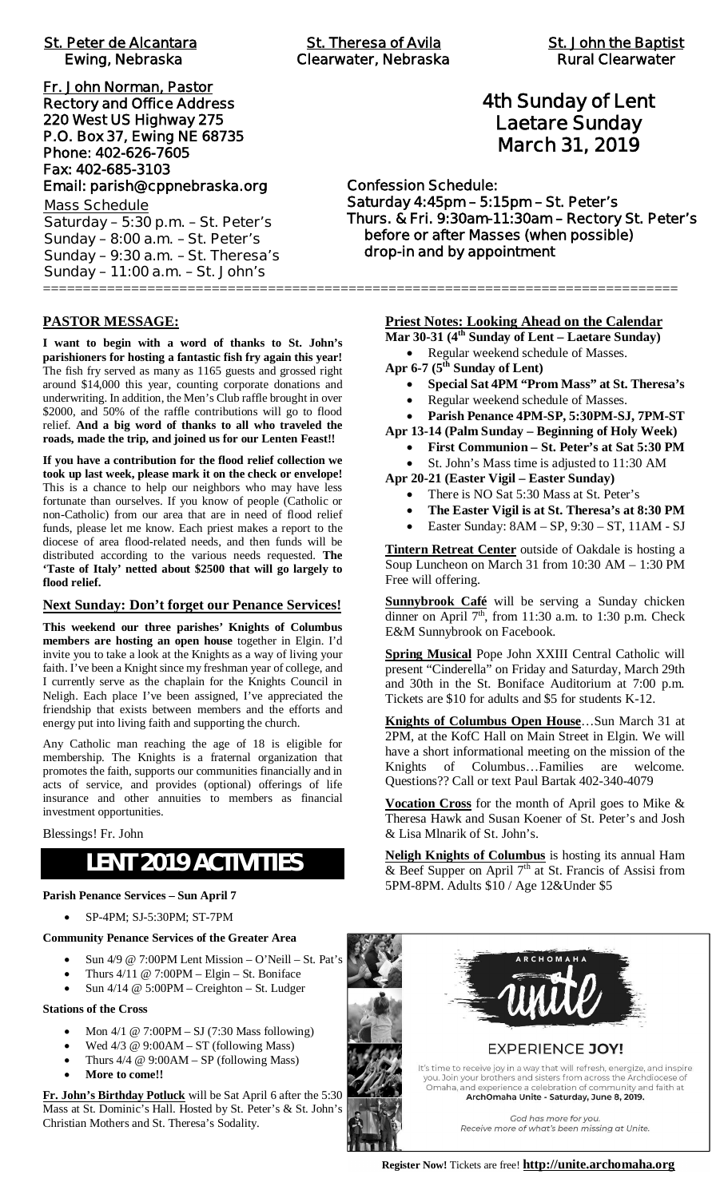| <b>St. Peter de Alcantara</b><br>Ewing, Nebraska |
|--------------------------------------------------|
| Fr. John Norman, Pastor                          |
| <b>Rectory and Office Address</b>                |
| 220 West US Highway 275                          |
| P.O. Box 37, Ewing NE 68735                      |
| Phone: 402-626-7605                              |
| Fax: 402-685-3103                                |
| Email: parish@cppnebraska.org                    |
| <b>Mass Schedule</b>                             |
| Saturday - 5:30 p.m. - St. Peter's               |
| Sunday $-8:00$ a.m. $-St.$ Peter's               |
| Sunday - 9:30 a.m. - St. Theresa's               |
| Sunday - 11:00 a.m. - St. John's                 |

**PASTOR MESSAGE:**

**I want to begin with a word of thanks to St. John's parishioners for hosting a fantastic fish fry again this year!** The fish fry served as many as 1165 guests and grossed right around \$14,000 this year, counting corporate donations and underwriting. In addition, the Men's Club raffle brought in over \$2000, and 50% of the raffle contributions will go to flood relief. **And a big word of thanks to all who traveled the roads, made the trip, and joined us for our Lenten Feast!!**

**If you have a contribution for the flood relief collection we took up last week, please mark it on the check or envelope!** This is a chance to help our neighbors who may have less fortunate than ourselves. If you know of people (Catholic or non-Catholic) from our area that are in need of flood relief funds, please let me know. Each priest makes a report to the diocese of area flood-related needs, and then funds will be distributed according to the various needs requested. **The 'Taste of Italy' netted about \$2500 that will go largely to flood relief.**

#### **Next Sunday: Don't forget our Penance Services!**

**This weekend our three parishes' Knights of Columbus members are hosting an open house** together in Elgin. I'd invite you to take a look at the Knights as a way of living your faith. I've been a Knight since my freshman year of college, and I currently serve as the chaplain for the Knights Council in Neligh. Each place I've been assigned, I've appreciated the friendship that exists between members and the efforts and energy put into living faith and supporting the church.

Any Catholic man reaching the age of 18 is eligible for membership. The Knights is a fraternal organization that promotes the faith, supports our communities financially and in acts of service, and provides (optional) offerings of life insurance and other annuities to members as financial investment opportunities.

### Blessings! Fr. John

# **LENT 2019 ACTIVITIES**

#### **Parish Penance Services – Sun April 7**

· SP-4PM; SJ-5:30PM; ST-7PM

### **Community Penance Services of the Greater Area**

- Sun  $4/9 \ @$  7:00PM Lent Mission O'Neill St. Pat's
- Thurs  $4/11 \ @$  7:00PM Elgin St. Boniface
- Sun  $4/14 \ @$  5:00PM Creighton St. Ludger

### **Stations of the Cross**

- · Mon 4/1 @ 7:00PM SJ (7:30 Mass following)
- Wed  $4/3$  @ 9:00AM ST (following Mass)
- Thurs  $4/4 \ @ \ 9:00AM SP$  (following Mass)
- More to come!!

**Fr. John's Birthday Potluck** will be Sat April 6 after the 5:30 Mass at St. Dominic's Hall. Hosted by St. Peter's & St. John's Christian Mothers and St. Theresa's Sodality.

===============================================================================

# **4th Sunday of Lent Laetare Sunday March 31, 2019**

### **Confession Schedule: Saturday 4:45pm – 5:15pm – St. Peter's Thurs. & Fri. 9:30am-11:30am – Rectory St. Peter's before or after Masses (when possible) drop-in and by appointment**

**Priest Notes: Looking Ahead on the Calendar**

**Mar 30-31 (4th Sunday of Lent – Laetare Sunday)**

- · Regular weekend schedule of Masses.
- **Apr 6-7 (5th Sunday of Lent)**
	- · **Special Sat 4PM "Prom Mass" at St. Theresa's**
	- · Regular weekend schedule of Masses.

· **Parish Penance 4PM-SP, 5:30PM-SJ, 7PM-ST**

**Apr 13-14 (Palm Sunday – Beginning of Holy Week)**

- **First Communion St. Peter's at Sat 5:30 PM**
- St. John's Mass time is adjusted to 11:30 AM
- **Apr 20-21 (Easter Vigil Easter Sunday)**
	- There is NO Sat 5:30 Mass at St. Peter's
	- The Easter Vigil is at St. Theresa's at 8:30 PM
	- · Easter Sunday: 8AM SP, 9:30 ST, 11AM SJ

**Tintern Retreat Center** outside of Oakdale is hosting a Soup Luncheon on March 31 from 10:30 AM – 1:30 PM Free will offering.

**Sunnybrook Café** will be serving a Sunday chicken dinner on April  $7<sup>th</sup>$ , from 11:30 a.m. to 1:30 p.m. Check E&M Sunnybrook on Facebook.

**Spring Musical** Pope John XXIII Central Catholic will present "Cinderella" on Friday and Saturday, March 29th and 30th in the St. Boniface Auditorium at 7:00 p.m. Tickets are \$10 for adults and \$5 for students K-12.

**Knights of Columbus Open House**…Sun March 31 at 2PM, at the KofC Hall on Main Street in Elgin. We will have a short informational meeting on the mission of the Knights of Columbus…Families are welcome. Questions?? Call or text Paul Bartak 402-340-4079

**Vocation Cross** for the month of April goes to Mike & Theresa Hawk and Susan Koener of St. Peter's and Josh & Lisa Mlnarik of St. John's.

**Neligh Knights of Columbus** is hosting its annual Ham & Beef Supper on April  $7<sup>th</sup>$  at St. Francis of Assisi from 5PM-8PM. Adults \$10 / Age 12&Under \$5